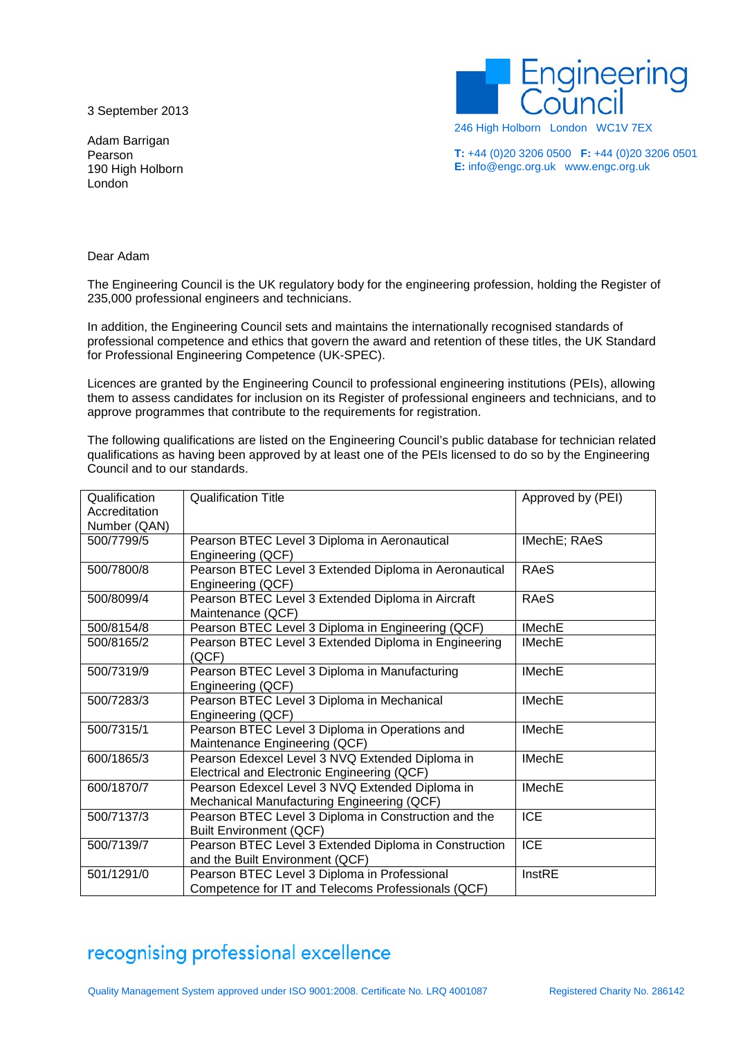3 September 2013

**iqineering** 

Adam Barrigan Pearson 190 High Holborn London

246 High Holborn London WC1V 7EX

**T:** +44 (0)20 3206 0500 **F:** +44 (0)20 3206 0501 **E:** info@engc.org.uk www.engc.org.uk

Dear Adam

The Engineering Council is the UK regulatory body for the engineering profession, holding the Register of 235,000 professional engineers and technicians.

In addition, the Engineering Council sets and maintains the internationally recognised standards of professional competence and ethics that govern the award and retention of these titles, the UK Standard for Professional Engineering Competence (UK-SPEC).

Licences are granted by the Engineering Council to professional engineering institutions (PEIs), allowing them to assess candidates for inclusion on its Register of professional engineers and technicians, and to approve programmes that contribute to the requirements for registration.

The following qualifications are listed on the Engineering Council's public database for technician related qualifications as having been approved by at least one of the PEIs licensed to do so by the Engineering Council and to our standards.

| Qualification<br>Accreditation | <b>Qualification Title</b>                                                                         | Approved by (PEI) |
|--------------------------------|----------------------------------------------------------------------------------------------------|-------------------|
| Number (QAN)                   |                                                                                                    |                   |
| 500/7799/5                     | Pearson BTEC Level 3 Diploma in Aeronautical<br>Engineering (QCF)                                  | IMechE; RAeS      |
| 500/7800/8                     | Pearson BTEC Level 3 Extended Diploma in Aeronautical<br>Engineering (QCF)                         | <b>RAeS</b>       |
| 500/8099/4                     | Pearson BTEC Level 3 Extended Diploma in Aircraft<br>Maintenance (QCF)                             | RAeS              |
| 500/8154/8                     | Pearson BTEC Level 3 Diploma in Engineering (QCF)                                                  | <b>IMechE</b>     |
| 500/8165/2                     | Pearson BTEC Level 3 Extended Diploma in Engineering<br>(QCF)                                      | <b>IMechE</b>     |
| 500/7319/9                     | Pearson BTEC Level 3 Diploma in Manufacturing<br>Engineering (QCF)                                 | <b>IMechE</b>     |
| 500/7283/3                     | Pearson BTEC Level 3 Diploma in Mechanical<br>Engineering (QCF)                                    | <b>IMechE</b>     |
| 500/7315/1                     | Pearson BTEC Level 3 Diploma in Operations and<br>Maintenance Engineering (QCF)                    | <b>IMechE</b>     |
| 600/1865/3                     | Pearson Edexcel Level 3 NVQ Extended Diploma in<br>Electrical and Electronic Engineering (QCF)     | <b>IMechE</b>     |
| 600/1870/7                     | Pearson Edexcel Level 3 NVQ Extended Diploma in<br>Mechanical Manufacturing Engineering (QCF)      | <b>IMechE</b>     |
| 500/7137/3                     | Pearson BTEC Level 3 Diploma in Construction and the<br><b>Built Environment (QCF)</b>             | <b>ICE</b>        |
| 500/7139/7                     | Pearson BTEC Level 3 Extended Diploma in Construction<br>and the Built Environment (QCF)           | <b>ICE</b>        |
| 501/1291/0                     | Pearson BTEC Level 3 Diploma in Professional<br>Competence for IT and Telecoms Professionals (QCF) | InstRE            |

## recognising professional excellence